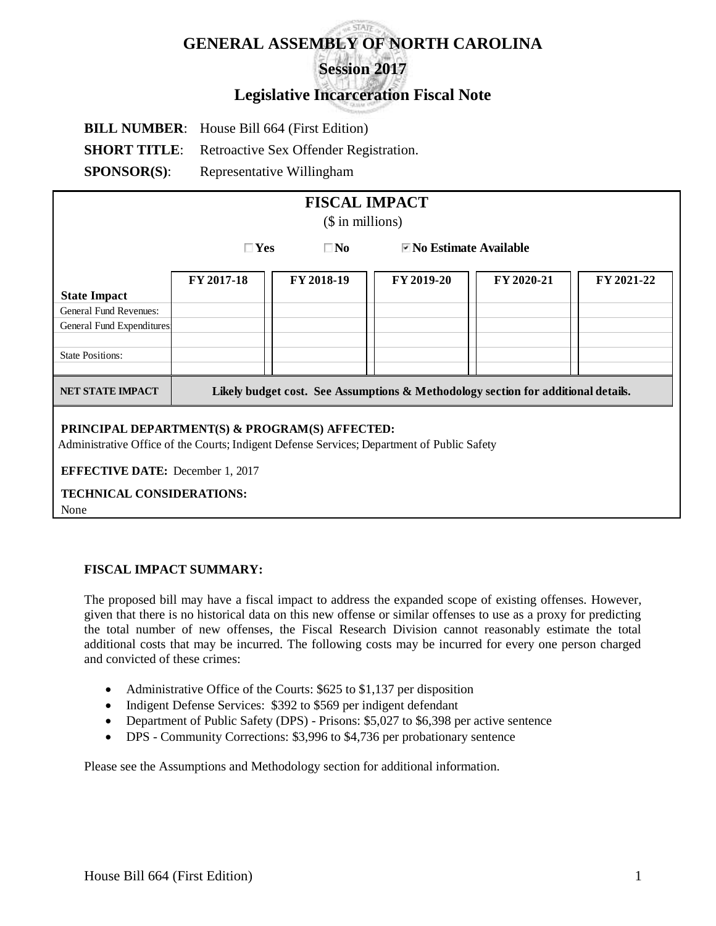# **GENERAL ASSEMBLY OF NORTH CAROLINA Session 2017**

# **Legislative Incarceration Fiscal Note**

|                     | <b>BILL NUMBER:</b> House Bill 664 (First Edition) |
|---------------------|----------------------------------------------------|
| <b>SHORT TITLE:</b> | Retroactive Sex Offender Registration.             |
| <b>SPONSOR(S):</b>  | Representative Willingham                          |

| <b>FISCAL IMPACT</b><br>$($$ in millions)                                                                                                     |            |                                                                    |            |                                                                                   |            |  |  |
|-----------------------------------------------------------------------------------------------------------------------------------------------|------------|--------------------------------------------------------------------|------------|-----------------------------------------------------------------------------------|------------|--|--|
|                                                                                                                                               |            | $\Box$ Yes<br>$\blacksquare$ No Estimate Available<br>$\square$ No |            |                                                                                   |            |  |  |
|                                                                                                                                               | FY 2017-18 | FY 2018-19                                                         | FY 2019-20 | FY 2020-21                                                                        | FY 2021-22 |  |  |
| <b>State Impact</b>                                                                                                                           |            |                                                                    |            |                                                                                   |            |  |  |
| General Fund Revenues:                                                                                                                        |            |                                                                    |            |                                                                                   |            |  |  |
| General Fund Expenditures                                                                                                                     |            |                                                                    |            |                                                                                   |            |  |  |
|                                                                                                                                               |            |                                                                    |            |                                                                                   |            |  |  |
| <b>State Positions:</b>                                                                                                                       |            |                                                                    |            |                                                                                   |            |  |  |
|                                                                                                                                               |            |                                                                    |            |                                                                                   |            |  |  |
| <b>NET STATE IMPACT</b>                                                                                                                       |            |                                                                    |            | Likely budget cost. See Assumptions & Methodology section for additional details. |            |  |  |
| PRINCIPAL DEPARTMENT(S) & PROGRAM(S) AFFECTED:<br>Administrative Office of the Courts; Indigent Defense Services; Department of Public Safety |            |                                                                    |            |                                                                                   |            |  |  |
| <b>EFFECTIVE DATE:</b> December 1, 2017                                                                                                       |            |                                                                    |            |                                                                                   |            |  |  |
| <b>TECHNICAL CONSIDERATIONS:</b>                                                                                                              |            |                                                                    |            |                                                                                   |            |  |  |

None

# **FISCAL IMPACT SUMMARY:**

The proposed bill may have a fiscal impact to address the expanded scope of existing offenses. However, given that there is no historical data on this new offense or similar offenses to use as a proxy for predicting the total number of new offenses, the Fiscal Research Division cannot reasonably estimate the total additional costs that may be incurred. The following costs may be incurred for every one person charged and convicted of these crimes:

- Administrative Office of the Courts: \$625 to \$1,137 per disposition
- Indigent Defense Services: \$392 to \$569 per indigent defendant
- Department of Public Safety (DPS) Prisons: \$5,027 to \$6,398 per active sentence
- DPS Community Corrections: \$3,996 to \$4,736 per probationary sentence

Please see the Assumptions and Methodology section for additional information.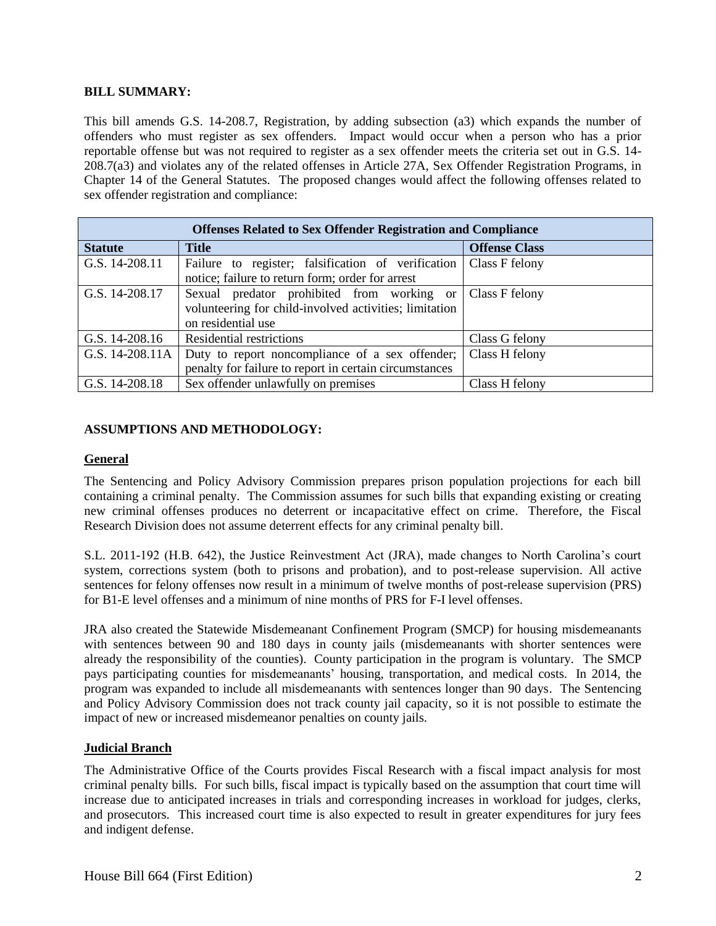#### **BILL SUMMARY:**

This bill amends G.S. 14-208.7, Registration, by adding subsection (a3) which expands the number of offenders who must register as sex offenders. Impact would occur when a person who has a prior reportable offense but was not required to register as a sex offender meets the criteria set out in G.S. 14- 208.7(a3) and violates any of the related offenses in Article 27A, Sex Offender Registration Programs, in Chapter 14 of the General Statutes. The proposed changes would affect the following offenses related to sex offender registration and compliance:

| <b>Offenses Related to Sex Offender Registration and Compliance</b> |                                                        |                      |  |  |  |  |
|---------------------------------------------------------------------|--------------------------------------------------------|----------------------|--|--|--|--|
| <b>Statute</b>                                                      | <b>Title</b>                                           | <b>Offense Class</b> |  |  |  |  |
| G.S. 14-208.11                                                      | Failure to register; falsification of verification     | Class F felony       |  |  |  |  |
|                                                                     | notice; failure to return form; order for arrest       |                      |  |  |  |  |
| G.S. 14-208.17                                                      | Sexual predator prohibited from working or             | Class F felony       |  |  |  |  |
|                                                                     | volunteering for child-involved activities; limitation |                      |  |  |  |  |
|                                                                     | on residential use                                     |                      |  |  |  |  |
| G.S. $14-208.16$                                                    | Residential restrictions                               | Class G felony       |  |  |  |  |
| G.S. 14-208.11A                                                     | Duty to report noncompliance of a sex offender;        | Class H felony       |  |  |  |  |
|                                                                     | penalty for failure to report in certain circumstances |                      |  |  |  |  |
| G.S. 14-208.18                                                      | Sex offender unlawfully on premises                    | Class H felony       |  |  |  |  |

# **ASSUMPTIONS AND METHODOLOGY:**

#### **General**

The Sentencing and Policy Advisory Commission prepares prison population projections for each bill containing a criminal penalty. The Commission assumes for such bills that expanding existing or creating new criminal offenses produces no deterrent or incapacitative effect on crime. Therefore, the Fiscal Research Division does not assume deterrent effects for any criminal penalty bill.

S.L. 2011-192 (H.B. 642), the Justice Reinvestment Act (JRA), made changes to North Carolina's court system, corrections system (both to prisons and probation), and to post-release supervision. All active sentences for felony offenses now result in a minimum of twelve months of post-release supervision (PRS) for B1-E level offenses and a minimum of nine months of PRS for F-I level offenses.

JRA also created the Statewide Misdemeanant Confinement Program (SMCP) for housing misdemeanants with sentences between 90 and 180 days in county jails (misdemeanants with shorter sentences were already the responsibility of the counties). County participation in the program is voluntary. The SMCP pays participating counties for misdemeanants' housing, transportation, and medical costs. In 2014, the program was expanded to include all misdemeanants with sentences longer than 90 days. The Sentencing and Policy Advisory Commission does not track county jail capacity, so it is not possible to estimate the impact of new or increased misdemeanor penalties on county jails.

#### **Judicial Branch**

The Administrative Office of the Courts provides Fiscal Research with a fiscal impact analysis for most criminal penalty bills. For such bills, fiscal impact is typically based on the assumption that court time will increase due to anticipated increases in trials and corresponding increases in workload for judges, clerks, and prosecutors. This increased court time is also expected to result in greater expenditures for jury fees and indigent defense.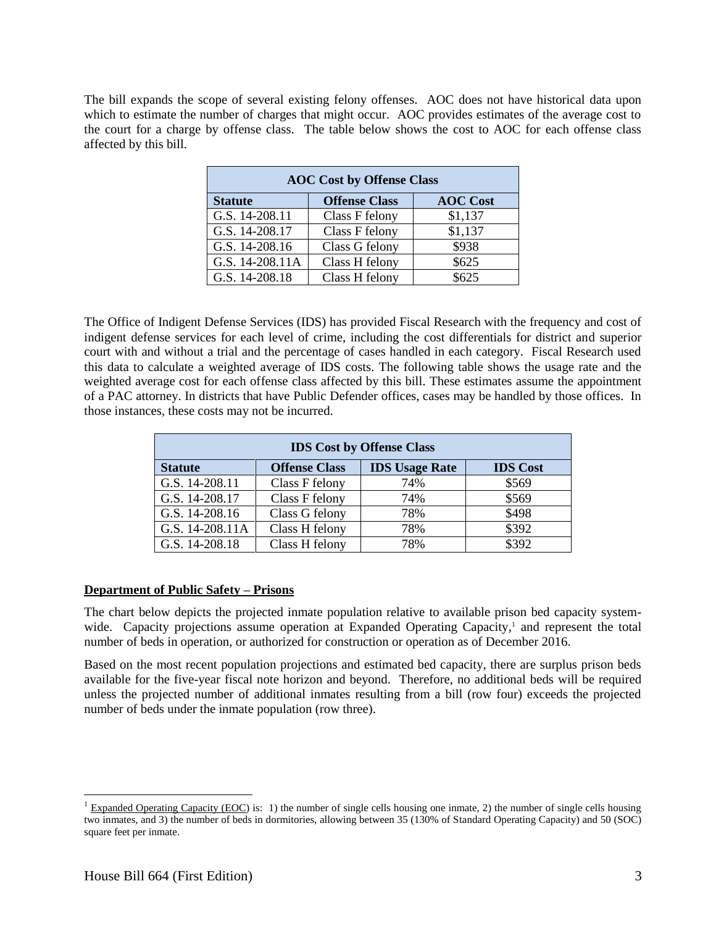The bill expands the scope of several existing felony offenses. AOC does not have historical data upon which to estimate the number of charges that might occur. AOC provides estimates of the average cost to the court for a charge by offense class. The table below shows the cost to AOC for each offense class affected by this bill.

| <b>AOC Cost by Offense Class</b> |                      |                 |  |  |  |  |
|----------------------------------|----------------------|-----------------|--|--|--|--|
| <b>Statute</b>                   | <b>Offense Class</b> | <b>AOC</b> Cost |  |  |  |  |
| G.S. 14-208.11                   | Class F felony       | \$1,137         |  |  |  |  |
| G.S. 14-208.17                   | Class F felony       | \$1,137         |  |  |  |  |
| G.S. 14-208.16                   | Class G felony       | \$938           |  |  |  |  |
| G.S. 14-208.11A                  | Class H felony       | \$625           |  |  |  |  |
| G.S. 14-208.18                   | Class H felony       | \$625           |  |  |  |  |

The Office of Indigent Defense Services (IDS) has provided Fiscal Research with the frequency and cost of indigent defense services for each level of crime, including the cost differentials for district and superior court with and without a trial and the percentage of cases handled in each category. Fiscal Research used this data to calculate a weighted average of IDS costs. The following table shows the usage rate and the weighted average cost for each offense class affected by this bill. These estimates assume the appointment of a PAC attorney. In districts that have Public Defender offices, cases may be handled by those offices. In those instances, these costs may not be incurred.

| <b>IDS Cost by Offense Class</b> |                      |                       |                 |  |  |  |
|----------------------------------|----------------------|-----------------------|-----------------|--|--|--|
| <b>Statute</b>                   | <b>Offense Class</b> | <b>IDS Usage Rate</b> | <b>IDS</b> Cost |  |  |  |
| G.S. 14-208.11                   | Class F felony       | 74%                   | \$569           |  |  |  |
| G.S. 14-208.17                   | Class F felony       | 74%                   | \$569           |  |  |  |
| G.S. 14-208.16                   | Class G felony       | 78%                   | \$498           |  |  |  |
| G.S. 14-208.11A                  | Class H felony       | 78%                   | \$392           |  |  |  |
| G.S. 14-208.18                   | Class H felony       | 78%                   | \$392           |  |  |  |

# **Department of Public Safety – Prisons**

The chart below depicts the projected inmate population relative to available prison bed capacity systemwide. Capacity projections assume operation at Expanded Operating Capacity,<sup>1</sup> and represent the total number of beds in operation, or authorized for construction or operation as of December 2016.

Based on the most recent population projections and estimated bed capacity, there are surplus prison beds available for the five-year fiscal note horizon and beyond. Therefore, no additional beds will be required unless the projected number of additional inmates resulting from a bill (row four) exceeds the projected number of beds under the inmate population (row three).

 $\overline{a}$ 

 $\frac{1}{2}$  Expanded Operating Capacity (EOC) is: 1) the number of single cells housing one inmate, 2) the number of single cells housing two inmates, and 3) the number of beds in dormitories, allowing between 35 (130% of Standard Operating Capacity) and 50 (SOC) square feet per inmate.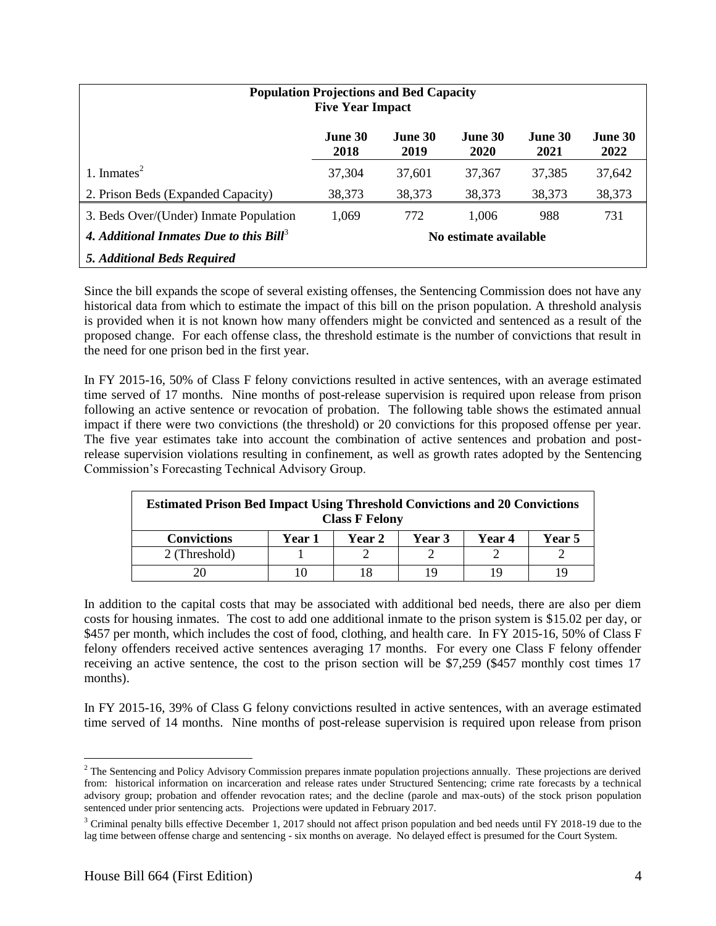| <b>Population Projections and Bed Capacity</b><br><b>Five Year Impact</b>    |                 |                        |                 |                 |                 |
|------------------------------------------------------------------------------|-----------------|------------------------|-----------------|-----------------|-----------------|
|                                                                              | June 30<br>2018 | <b>June 30</b><br>2019 | June 30<br>2020 | June 30<br>2021 | June 30<br>2022 |
| 1. Inmates $2$                                                               | 37,304          | 37,601                 | 37.367          | 37,385          | 37,642          |
| 2. Prison Beds (Expanded Capacity)                                           | 38,373          | 38,373                 | 38,373          | 38,373          | 38,373          |
| 3. Beds Over/(Under) Inmate Population                                       | 1,069           | 772                    | 1,006           | 988             | 731             |
| 4. Additional Inmates Due to this Bill <sup>3</sup><br>No estimate available |                 |                        |                 |                 |                 |
| 5. Additional Beds Required                                                  |                 |                        |                 |                 |                 |

Since the bill expands the scope of several existing offenses, the Sentencing Commission does not have any historical data from which to estimate the impact of this bill on the prison population. A threshold analysis is provided when it is not known how many offenders might be convicted and sentenced as a result of the proposed change. For each offense class, the threshold estimate is the number of convictions that result in the need for one prison bed in the first year.

In FY 2015-16, 50% of Class F felony convictions resulted in active sentences, with an average estimated time served of 17 months. Nine months of post-release supervision is required upon release from prison following an active sentence or revocation of probation. The following table shows the estimated annual impact if there were two convictions (the threshold) or 20 convictions for this proposed offense per year. The five year estimates take into account the combination of active sentences and probation and postrelease supervision violations resulting in confinement, as well as growth rates adopted by the Sentencing Commission's Forecasting Technical Advisory Group.

| <b>Estimated Prison Bed Impact Using Threshold Convictions and 20 Convictions</b><br><b>Class F Felony</b> |  |  |    |  |     |  |
|------------------------------------------------------------------------------------------------------------|--|--|----|--|-----|--|
| <b>Convictions</b><br><b>Year 5</b><br>Year 1<br>Year 4<br><b>Year 2</b><br><b>Year 3</b>                  |  |  |    |  |     |  |
| 2 (Threshold)                                                                                              |  |  |    |  |     |  |
|                                                                                                            |  |  | 19 |  | , Q |  |

In addition to the capital costs that may be associated with additional bed needs, there are also per diem costs for housing inmates. The cost to add one additional inmate to the prison system is \$15.02 per day, or \$457 per month, which includes the cost of food, clothing, and health care. In FY 2015-16, 50% of Class F felony offenders received active sentences averaging 17 months. For every one Class F felony offender receiving an active sentence, the cost to the prison section will be \$7,259 (\$457 monthly cost times 17 months).

In FY 2015-16, 39% of Class G felony convictions resulted in active sentences, with an average estimated time served of 14 months. Nine months of post-release supervision is required upon release from prison

 $\overline{a}$ 

<sup>&</sup>lt;sup>2</sup> The Sentencing and Policy Advisory Commission prepares inmate population projections annually. These projections are derived from: historical information on incarceration and release rates under Structured Sentencing; crime rate forecasts by a technical advisory group; probation and offender revocation rates; and the decline (parole and max-outs) of the stock prison population sentenced under prior sentencing acts. Projections were updated in February 2017.

<sup>&</sup>lt;sup>3</sup> Criminal penalty bills effective December 1, 2017 should not affect prison population and bed needs until FY 2018-19 due to the lag time between offense charge and sentencing - six months on average. No delayed effect is presumed for the Court System.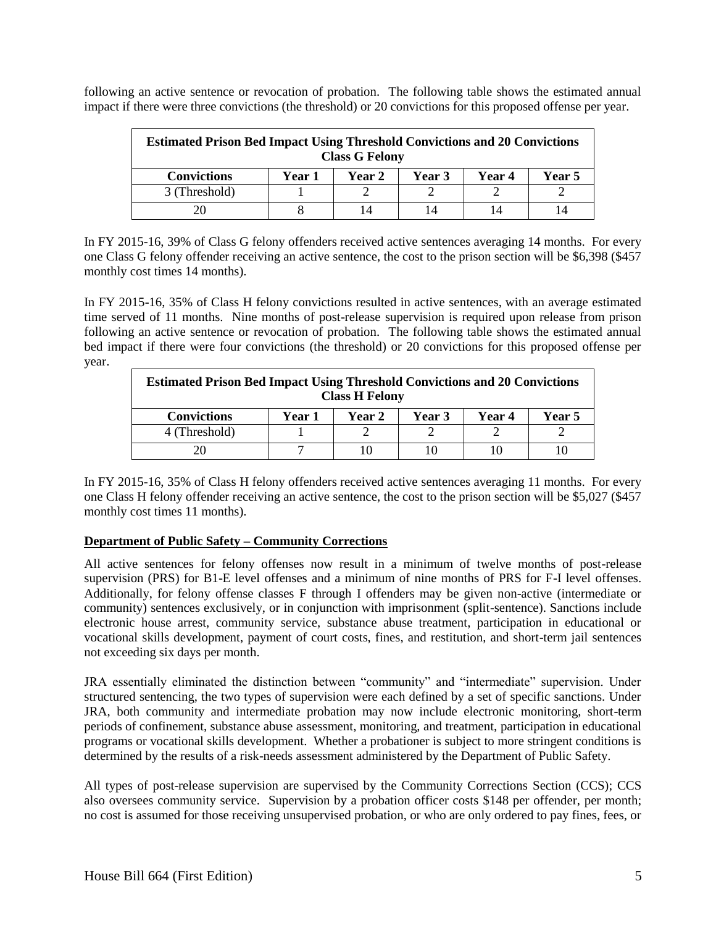following an active sentence or revocation of probation. The following table shows the estimated annual impact if there were three convictions (the threshold) or 20 convictions for this proposed offense per year.

| <b>Estimated Prison Bed Impact Using Threshold Convictions and 20 Convictions</b><br><b>Class G Felony</b> |        |               |        |               |        |  |
|------------------------------------------------------------------------------------------------------------|--------|---------------|--------|---------------|--------|--|
| <b>Convictions</b>                                                                                         | Year 1 | <b>Year 2</b> | Year 3 | <b>Year 4</b> | Year 5 |  |
| 3 (Threshold)                                                                                              |        |               |        |               |        |  |
|                                                                                                            |        | 14            | 14     | 14            |        |  |

In FY 2015-16, 39% of Class G felony offenders received active sentences averaging 14 months. For every one Class G felony offender receiving an active sentence, the cost to the prison section will be \$6,398 (\$457 monthly cost times 14 months).

In FY 2015-16, 35% of Class H felony convictions resulted in active sentences, with an average estimated time served of 11 months. Nine months of post-release supervision is required upon release from prison following an active sentence or revocation of probation. The following table shows the estimated annual bed impact if there were four convictions (the threshold) or 20 convictions for this proposed offense per year.

| <b>Estimated Prison Bed Impact Using Threshold Convictions and 20 Convictions</b><br><b>Class H Felony</b> |  |  |    |  |  |  |
|------------------------------------------------------------------------------------------------------------|--|--|----|--|--|--|
| <b>Convictions</b><br><b>Year 5</b><br>Year 1<br>Year 2<br><b>Year</b> 3<br>Year 4                         |  |  |    |  |  |  |
| 4 (Threshold)                                                                                              |  |  |    |  |  |  |
| 20                                                                                                         |  |  | 10 |  |  |  |

In FY 2015-16, 35% of Class H felony offenders received active sentences averaging 11 months. For every one Class H felony offender receiving an active sentence, the cost to the prison section will be \$5,027 (\$457 monthly cost times 11 months).

# **Department of Public Safety – Community Corrections**

All active sentences for felony offenses now result in a minimum of twelve months of post-release supervision (PRS) for B1-E level offenses and a minimum of nine months of PRS for F-I level offenses. Additionally, for felony offense classes F through I offenders may be given non-active (intermediate or community) sentences exclusively, or in conjunction with imprisonment (split-sentence). Sanctions include electronic house arrest, community service, substance abuse treatment, participation in educational or vocational skills development, payment of court costs, fines, and restitution, and short-term jail sentences not exceeding six days per month.

JRA essentially eliminated the distinction between "community" and "intermediate" supervision. Under structured sentencing, the two types of supervision were each defined by a set of specific sanctions. Under JRA, both community and intermediate probation may now include electronic monitoring, short-term periods of confinement, substance abuse assessment, monitoring, and treatment, participation in educational programs or vocational skills development. Whether a probationer is subject to more stringent conditions is determined by the results of a risk-needs assessment administered by the Department of Public Safety.

All types of post-release supervision are supervised by the Community Corrections Section (CCS); CCS also oversees community service. Supervision by a probation officer costs \$148 per offender, per month; no cost is assumed for those receiving unsupervised probation, or who are only ordered to pay fines, fees, or